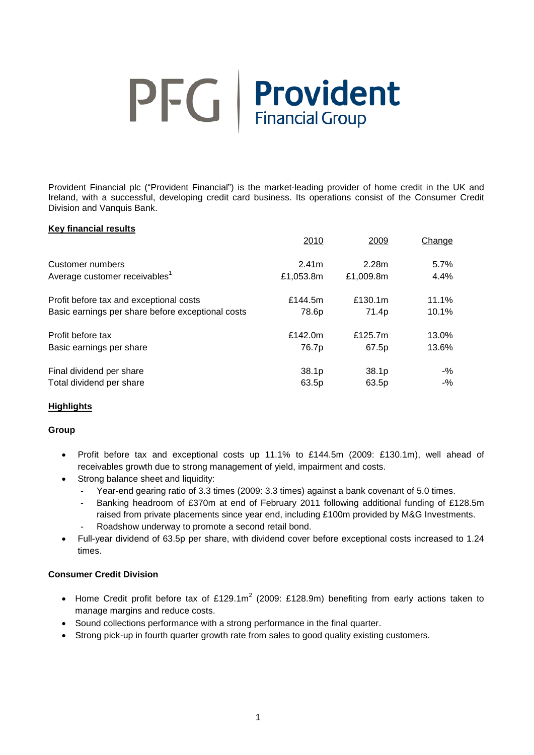# PFG Provident

Provident Financial plc ("Provident Financial") is the market-leading provider of home credit in the UK and Ireland, with a successful, developing credit card business. Its operations consist of the Consumer Credit Division and Vanquis Bank.

# **Key financial results**

|                                                   | 2010              | 2009              | Change |
|---------------------------------------------------|-------------------|-------------------|--------|
| Customer numbers                                  | 2.41 <sub>m</sub> | 2.28m             | 5.7%   |
| Average customer receivables <sup>1</sup>         | £1,053.8m         | £1,009.8m         | 4.4%   |
| Profit before tax and exceptional costs           | £144.5m           | £130.1m           | 11.1%  |
| Basic earnings per share before exceptional costs | 78.6p             | 71.4p             | 10.1%  |
| Profit before tax                                 | £142.0m           | £125.7m           | 13.0%  |
| Basic earnings per share                          | 76.7p             | 67.5p             | 13.6%  |
| Final dividend per share                          | 38.1p             | 38.1 <sub>p</sub> | $-$ %  |
| Total dividend per share                          | 63.5p             | 63.5p             | $-$ %  |

# **Highlights**

# **Group**

- Profit before tax and exceptional costs up 11.1% to £144.5m (2009: £130.1m), well ahead of receivables growth due to strong management of yield, impairment and costs.
- Strong balance sheet and liquidity:
	- Year-end gearing ratio of 3.3 times (2009: 3.3 times) against a bank covenant of 5.0 times.
	- Banking headroom of £370m at end of February 2011 following additional funding of £128.5m raised from private placements since year end, including £100m provided by M&G Investments.
	- Roadshow underway to promote a second retail bond.
- Full-year dividend of 63.5p per share, with dividend cover before exceptional costs increased to 1.24 times.

# **Consumer Credit Division**

- Home Credit profit before tax of £129.1m<sup>2</sup> (2009: £128.9m) benefiting from early actions taken to manage margins and reduce costs.
- Sound collections performance with a strong performance in the final quarter.
- Strong pick-up in fourth quarter growth rate from sales to good quality existing customers.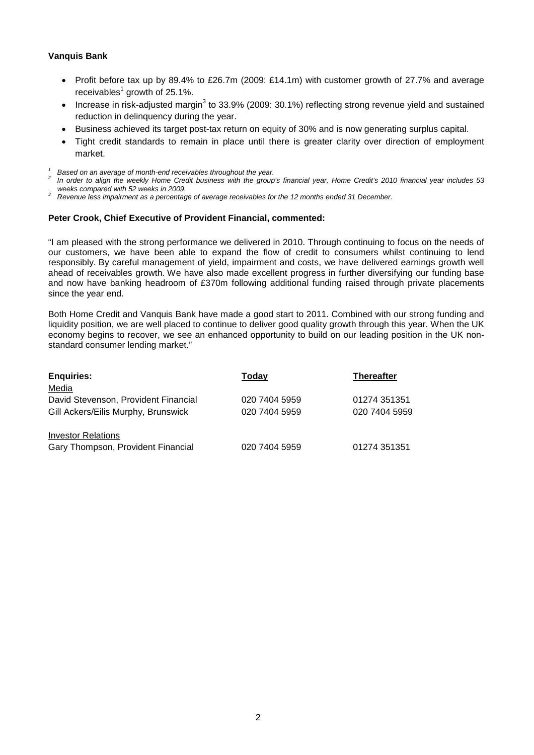# **Vanquis Bank**

- Profit before tax up by 89.4% to £26.7m (2009: £14.1m) with customer growth of 27.7% and average receivables<sup>1</sup> growth of 25.1%.
- Increase in risk-adjusted margin<sup>3</sup> to 33.9% (2009: 30.1%) reflecting strong revenue yield and sustained reduction in delinquency during the year.
- Business achieved its target post-tax return on equity of 30% and is now generating surplus capital.
- Tight credit standards to remain in place until there is greater clarity over direction of employment market.

- <sup>1</sup> Based on an average of month-end receivables throughout the year.<br><sup>2</sup> In order to align the weekly Home Credit business with the group's financial year, Home Credit's 2010 financial year includes 53<br>weeks compared wit
- *weeks compared with 52 weeks in 2009. <sup>3</sup> Revenue less impairment as a percentage of average receivables for the 12 months ended 31 December.*

# **Peter Crook, Chief Executive of Provident Financial, commented:**

"I am pleased with the strong performance we delivered in 2010. Through continuing to focus on the needs of our customers, we have been able to expand the flow of credit to consumers whilst continuing to lend responsibly. By careful management of yield, impairment and costs, we have delivered earnings growth well ahead of receivables growth. We have also made excellent progress in further diversifying our funding base and now have banking headroom of £370m following additional funding raised through private placements since the year end.

Both Home Credit and Vanquis Bank have made a good start to 2011. Combined with our strong funding and liquidity position, we are well placed to continue to deliver good quality growth through this year. When the UK economy begins to recover, we see an enhanced opportunity to build on our leading position in the UK nonstandard consumer lending market."

| <b>Enquiries:</b>                    | Today         | <b>Thereafter</b> |
|--------------------------------------|---------------|-------------------|
| Media                                |               |                   |
| David Stevenson, Provident Financial | 020 7404 5959 | 01274 351351      |
| Gill Ackers/Eilis Murphy, Brunswick  | 020 7404 5959 | 020 7404 5959     |
| <b>Investor Relations</b>            |               |                   |
| Gary Thompson, Provident Financial   | 020 7404 5959 | 01274 351351      |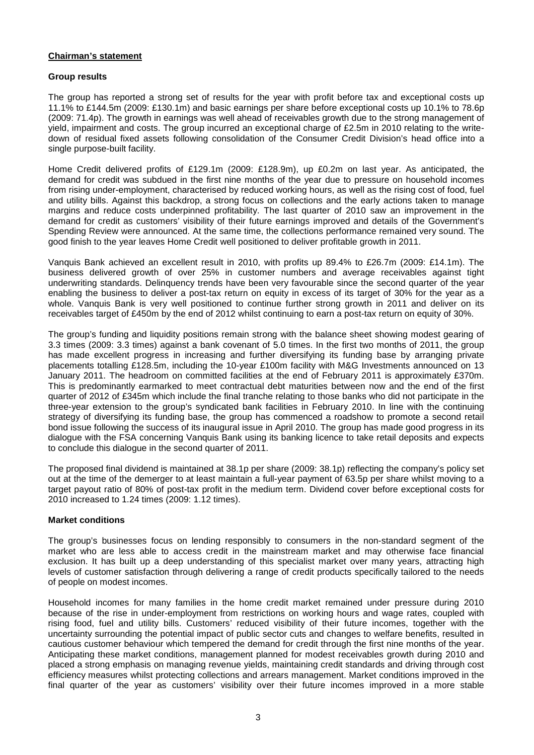# **Chairman's statement**

# **Group results**

The group has reported a strong set of results for the year with profit before tax and exceptional costs up 11.1% to £144.5m (2009: £130.1m) and basic earnings per share before exceptional costs up 10.1% to 78.6p (2009: 71.4p). The growth in earnings was well ahead of receivables growth due to the strong management of yield, impairment and costs. The group incurred an exceptional charge of £2.5m in 2010 relating to the writedown of residual fixed assets following consolidation of the Consumer Credit Division's head office into a single purpose-built facility.

Home Credit delivered profits of £129.1m (2009: £128.9m), up £0.2m on last year. As anticipated, the demand for credit was subdued in the first nine months of the year due to pressure on household incomes from rising under-employment, characterised by reduced working hours, as well as the rising cost of food, fuel and utility bills. Against this backdrop, a strong focus on collections and the early actions taken to manage margins and reduce costs underpinned profitability. The last quarter of 2010 saw an improvement in the demand for credit as customers' visibility of their future earnings improved and details of the Government's Spending Review were announced. At the same time, the collections performance remained very sound. The good finish to the year leaves Home Credit well positioned to deliver profitable growth in 2011.

Vanquis Bank achieved an excellent result in 2010, with profits up 89.4% to £26.7m (2009: £14.1m). The business delivered growth of over 25% in customer numbers and average receivables against tight underwriting standards. Delinquency trends have been very favourable since the second quarter of the year enabling the business to deliver a post-tax return on equity in excess of its target of 30% for the year as a whole. Vanquis Bank is very well positioned to continue further strong growth in 2011 and deliver on its receivables target of £450m by the end of 2012 whilst continuing to earn a post-tax return on equity of 30%.

The group's funding and liquidity positions remain strong with the balance sheet showing modest gearing of 3.3 times (2009: 3.3 times) against a bank covenant of 5.0 times. In the first two months of 2011, the group has made excellent progress in increasing and further diversifying its funding base by arranging private placements totalling £128.5m, including the 10-year £100m facility with M&G Investments announced on 13 January 2011. The headroom on committed facilities at the end of February 2011 is approximately £370m. This is predominantly earmarked to meet contractual debt maturities between now and the end of the first quarter of 2012 of £345m which include the final tranche relating to those banks who did not participate in the three-year extension to the group's syndicated bank facilities in February 2010. In line with the continuing strategy of diversifying its funding base, the group has commenced a roadshow to promote a second retail bond issue following the success of its inaugural issue in April 2010. The group has made good progress in its dialogue with the FSA concerning Vanquis Bank using its banking licence to take retail deposits and expects to conclude this dialogue in the second quarter of 2011.

The proposed final dividend is maintained at 38.1p per share (2009: 38.1p) reflecting the company's policy set out at the time of the demerger to at least maintain a full-year payment of 63.5p per share whilst moving to a target payout ratio of 80% of post-tax profit in the medium term. Dividend cover before exceptional costs for 2010 increased to 1.24 times (2009: 1.12 times).

# **Market conditions**

The group's businesses focus on lending responsibly to consumers in the non-standard segment of the market who are less able to access credit in the mainstream market and may otherwise face financial exclusion. It has built up a deep understanding of this specialist market over many years, attracting high levels of customer satisfaction through delivering a range of credit products specifically tailored to the needs of people on modest incomes.

Household incomes for many families in the home credit market remained under pressure during 2010 because of the rise in under-employment from restrictions on working hours and wage rates, coupled with rising food, fuel and utility bills. Customers' reduced visibility of their future incomes, together with the uncertainty surrounding the potential impact of public sector cuts and changes to welfare benefits, resulted in cautious customer behaviour which tempered the demand for credit through the first nine months of the year. Anticipating these market conditions, management planned for modest receivables growth during 2010 and placed a strong emphasis on managing revenue yields, maintaining credit standards and driving through cost efficiency measures whilst protecting collections and arrears management. Market conditions improved in the final quarter of the year as customers' visibility over their future incomes improved in a more stable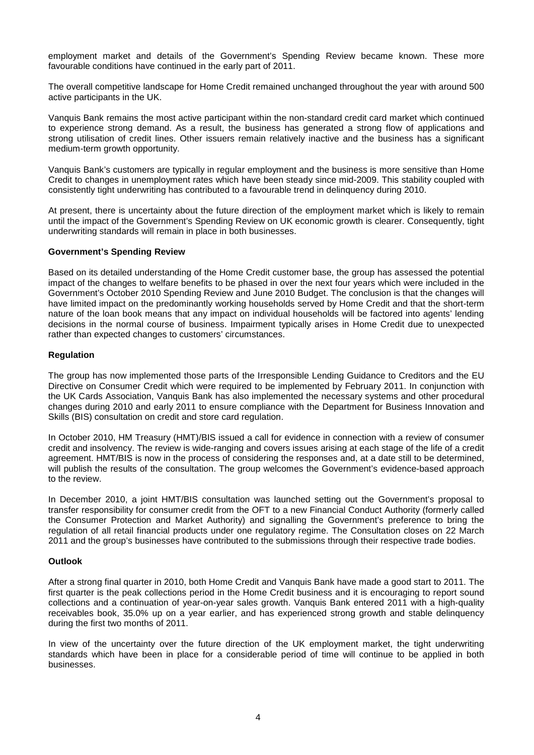employment market and details of the Government's Spending Review became known. These more favourable conditions have continued in the early part of 2011.

The overall competitive landscape for Home Credit remained unchanged throughout the year with around 500 active participants in the UK.

Vanquis Bank remains the most active participant within the non-standard credit card market which continued to experience strong demand. As a result, the business has generated a strong flow of applications and strong utilisation of credit lines. Other issuers remain relatively inactive and the business has a significant medium-term growth opportunity.

Vanquis Bank's customers are typically in regular employment and the business is more sensitive than Home Credit to changes in unemployment rates which have been steady since mid-2009. This stability coupled with consistently tight underwriting has contributed to a favourable trend in delinquency during 2010.

At present, there is uncertainty about the future direction of the employment market which is likely to remain until the impact of the Government's Spending Review on UK economic growth is clearer. Consequently, tight underwriting standards will remain in place in both businesses.

# **Government's Spending Review**

Based on its detailed understanding of the Home Credit customer base, the group has assessed the potential impact of the changes to welfare benefits to be phased in over the next four years which were included in the Government's October 2010 Spending Review and June 2010 Budget. The conclusion is that the changes will have limited impact on the predominantly working households served by Home Credit and that the short-term nature of the loan book means that any impact on individual households will be factored into agents' lending decisions in the normal course of business. Impairment typically arises in Home Credit due to unexpected rather than expected changes to customers' circumstances.

# **Regulation**

The group has now implemented those parts of the Irresponsible Lending Guidance to Creditors and the EU Directive on Consumer Credit which were required to be implemented by February 2011. In conjunction with the UK Cards Association, Vanquis Bank has also implemented the necessary systems and other procedural changes during 2010 and early 2011 to ensure compliance with the Department for Business Innovation and Skills (BIS) consultation on credit and store card regulation.

In October 2010, HM Treasury (HMT)/BIS issued a call for evidence in connection with a review of consumer credit and insolvency. The review is wide-ranging and covers issues arising at each stage of the life of a credit agreement. HMT/BIS is now in the process of considering the responses and, at a date still to be determined, will publish the results of the consultation. The group welcomes the Government's evidence-based approach to the review.

In December 2010, a joint HMT/BIS consultation was launched setting out the Government's proposal to transfer responsibility for consumer credit from the OFT to a new Financial Conduct Authority (formerly called the Consumer Protection and Market Authority) and signalling the Government's preference to bring the regulation of all retail financial products under one regulatory regime. The Consultation closes on 22 March 2011 and the group's businesses have contributed to the submissions through their respective trade bodies.

#### **Outlook**

After a strong final quarter in 2010, both Home Credit and Vanquis Bank have made a good start to 2011. The first quarter is the peak collections period in the Home Credit business and it is encouraging to report sound collections and a continuation of year-on-year sales growth. Vanquis Bank entered 2011 with a high-quality receivables book, 35.0% up on a year earlier, and has experienced strong growth and stable delinquency during the first two months of 2011.

In view of the uncertainty over the future direction of the UK employment market, the tight underwriting standards which have been in place for a considerable period of time will continue to be applied in both businesses.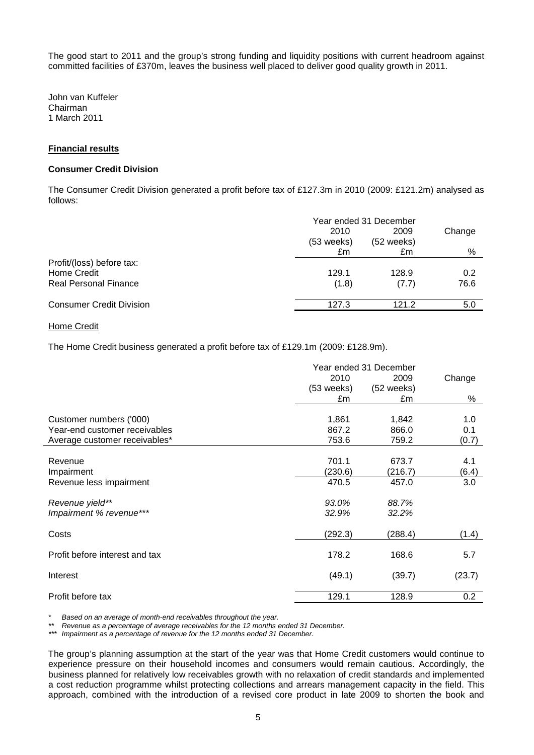The good start to 2011 and the group's strong funding and liquidity positions with current headroom against committed facilities of £370m, leaves the business well placed to deliver good quality growth in 2011.

John van Kuffeler Chairman 1 March 2011

# **Financial results**

#### **Consumer Credit Division**

The Consumer Credit Division generated a profit before tax of £127.3m in 2010 (2009: £121.2m) analysed as follows:

|                                 | Year ended 31 December |                      |        |  |
|---------------------------------|------------------------|----------------------|--------|--|
|                                 | 2010<br>$(53$ weeks)   | 2009<br>$(52$ weeks) | Change |  |
|                                 | £m                     | £m                   | %      |  |
| Profit/(loss) before tax:       |                        |                      |        |  |
| Home Credit                     | 129.1                  | 128.9                | 0.2    |  |
| <b>Real Personal Finance</b>    | (1.8)                  | (7.7)                | 76.6   |  |
| <b>Consumer Credit Division</b> | 127.3                  | 1212                 | 5.0    |  |

#### Home Credit

The Home Credit business generated a profit before tax of £129.1m (2009: £128.9m).

|                                | 2010<br>$(53$ weeks) | 2009<br>$(52$ weeks) | Change |
|--------------------------------|----------------------|----------------------|--------|
|                                |                      |                      |        |
|                                |                      |                      |        |
|                                | £m                   | £m                   | %      |
|                                |                      |                      |        |
| Customer numbers ('000)        | 1,861                | 1,842                | 1.0    |
| Year-end customer receivables  | 867.2                | 866.0                | 0.1    |
| Average customer receivables*  | 753.6                | 759.2                | (0.7)  |
| Revenue                        | 701.1                | 673.7                | 4.1    |
|                                | (230.6)              |                      |        |
| Impairment                     |                      | (216.7)              | (6.4)  |
| Revenue less impairment        | 470.5                | 457.0                | 3.0    |
| Revenue yield**                | 93.0%                | 88.7%                |        |
| Impairment % revenue***        | 32.9%                | 32.2%                |        |
|                                |                      |                      |        |
| Costs                          | (292.3)              | (288.4)              | (1.4)  |
|                                |                      |                      |        |
| Profit before interest and tax | 178.2                | 168.6                | 5.7    |
| Interest                       | (49.1)               | (39.7)               | (23.7) |
|                                |                      |                      |        |
| Profit before tax              | 129.1                | 128.9                | 0.2    |

*\* Based on an average of month-end receivables throughout the year.*

*\*\* Revenue as a percentage of average receivables for the 12 months ended 31 December.*

*\*\*\* Impairment as a percentage of revenue for the 12 months ended 31 December.*

The group's planning assumption at the start of the year was that Home Credit customers would continue to experience pressure on their household incomes and consumers would remain cautious. Accordingly, the business planned for relatively low receivables growth with no relaxation of credit standards and implemented a cost reduction programme whilst protecting collections and arrears management capacity in the field. This approach, combined with the introduction of a revised core product in late 2009 to shorten the book and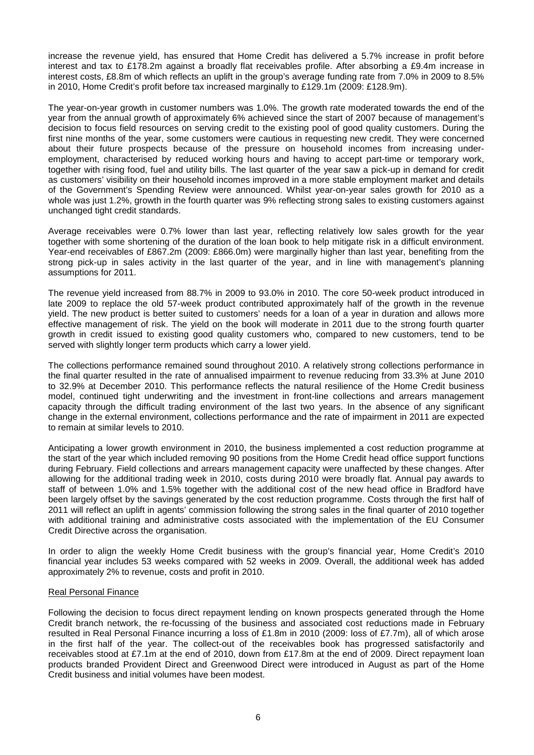increase the revenue yield, has ensured that Home Credit has delivered a 5.7% increase in profit before interest and tax to £178.2m against a broadly flat receivables profile. After absorbing a £9.4m increase in interest costs, £8.8m of which reflects an uplift in the group's average funding rate from 7.0% in 2009 to 8.5% in 2010, Home Credit's profit before tax increased marginally to £129.1m (2009: £128.9m).

The year-on-year growth in customer numbers was 1.0%. The growth rate moderated towards the end of the year from the annual growth of approximately 6% achieved since the start of 2007 because of management's decision to focus field resources on serving credit to the existing pool of good quality customers. During the first nine months of the year, some customers were cautious in requesting new credit. They were concerned about their future prospects because of the pressure on household incomes from increasing underemployment, characterised by reduced working hours and having to accept part-time or temporary work, together with rising food, fuel and utility bills. The last quarter of the year saw a pick-up in demand for credit as customers' visibility on their household incomes improved in a more stable employment market and details of the Government's Spending Review were announced. Whilst year-on-year sales growth for 2010 as a whole was just 1.2%, growth in the fourth quarter was 9% reflecting strong sales to existing customers against unchanged tight credit standards.

Average receivables were 0.7% lower than last year, reflecting relatively low sales growth for the year together with some shortening of the duration of the loan book to help mitigate risk in a difficult environment. Year-end receivables of £867.2m (2009: £866.0m) were marginally higher than last year, benefiting from the strong pick-up in sales activity in the last quarter of the year, and in line with management's planning assumptions for 2011.

The revenue yield increased from 88.7% in 2009 to 93.0% in 2010. The core 50-week product introduced in late 2009 to replace the old 57-week product contributed approximately half of the growth in the revenue yield. The new product is better suited to customers' needs for a loan of a year in duration and allows more effective management of risk. The yield on the book will moderate in 2011 due to the strong fourth quarter growth in credit issued to existing good quality customers who, compared to new customers, tend to be served with slightly longer term products which carry a lower yield.

The collections performance remained sound throughout 2010. A relatively strong collections performance in the final quarter resulted in the rate of annualised impairment to revenue reducing from 33.3% at June 2010 to 32.9% at December 2010. This performance reflects the natural resilience of the Home Credit business model, continued tight underwriting and the investment in front-line collections and arrears management capacity through the difficult trading environment of the last two years. In the absence of any significant change in the external environment, collections performance and the rate of impairment in 2011 are expected to remain at similar levels to 2010.

Anticipating a lower growth environment in 2010, the business implemented a cost reduction programme at the start of the year which included removing 90 positions from the Home Credit head office support functions during February. Field collections and arrears management capacity were unaffected by these changes. After allowing for the additional trading week in 2010, costs during 2010 were broadly flat. Annual pay awards to staff of between 1.0% and 1.5% together with the additional cost of the new head office in Bradford have been largely offset by the savings generated by the cost reduction programme. Costs through the first half of 2011 will reflect an uplift in agents' commission following the strong sales in the final quarter of 2010 together with additional training and administrative costs associated with the implementation of the EU Consumer Credit Directive across the organisation.

In order to align the weekly Home Credit business with the group's financial year, Home Credit's 2010 financial year includes 53 weeks compared with 52 weeks in 2009. Overall, the additional week has added approximately 2% to revenue, costs and profit in 2010.

# Real Personal Finance

Following the decision to focus direct repayment lending on known prospects generated through the Home Credit branch network, the re-focussing of the business and associated cost reductions made in February resulted in Real Personal Finance incurring a loss of £1.8m in 2010 (2009: loss of £7.7m), all of which arose in the first half of the year. The collect-out of the receivables book has progressed satisfactorily and receivables stood at £7.1m at the end of 2010, down from £17.8m at the end of 2009. Direct repayment loan products branded Provident Direct and Greenwood Direct were introduced in August as part of the Home Credit business and initial volumes have been modest.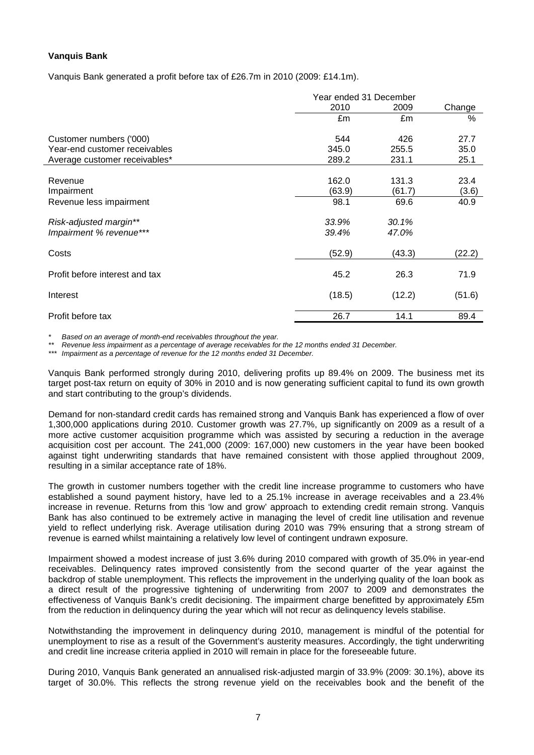# **Vanquis Bank**

Vanquis Bank generated a profit before tax of £26.7m in 2010 (2009: £14.1m).

|                                | Year ended 31 December |        |        |
|--------------------------------|------------------------|--------|--------|
|                                | 2010                   | 2009   | Change |
|                                | £m                     | £m     | %      |
| Customer numbers ('000)        | 544                    | 426    | 27.7   |
| Year-end customer receivables  | 345.0                  | 255.5  | 35.0   |
| Average customer receivables*  | 289.2                  | 231.1  | 25.1   |
|                                |                        |        |        |
| Revenue                        | 162.0                  | 131.3  | 23.4   |
| Impairment                     | (63.9)                 | (61.7) | (3.6)  |
| Revenue less impairment        | 98.1                   | 69.6   | 40.9   |
| Risk-adjusted margin**         | 33.9%                  | 30.1%  |        |
| Impairment % revenue***        | 39.4%                  | 47.0%  |        |
| Costs                          | (52.9)                 | (43.3) | (22.2) |
| Profit before interest and tax | 45.2                   | 26.3   | 71.9   |
| Interest                       | (18.5)                 | (12.2) | (51.6) |
| Profit before tax              | 26.7                   | 14.1   | 89.4   |

*\* Based on an average of month-end receivables throughout the year.*

*\*\* Revenue less impairment as a percentage of average receivables for the 12 months ended 31 December.*

*\*\*\* Impairment as a percentage of revenue for the 12 months ended 31 December.*

Vanquis Bank performed strongly during 2010, delivering profits up 89.4% on 2009. The business met its target post-tax return on equity of 30% in 2010 and is now generating sufficient capital to fund its own growth and start contributing to the group's dividends.

Demand for non-standard credit cards has remained strong and Vanquis Bank has experienced a flow of over 1,300,000 applications during 2010. Customer growth was 27.7%, up significantly on 2009 as a result of a more active customer acquisition programme which was assisted by securing a reduction in the average acquisition cost per account. The 241,000 (2009: 167,000) new customers in the year have been booked against tight underwriting standards that have remained consistent with those applied throughout 2009, resulting in a similar acceptance rate of 18%.

The growth in customer numbers together with the credit line increase programme to customers who have established a sound payment history, have led to a 25.1% increase in average receivables and a 23.4% increase in revenue. Returns from this 'low and grow' approach to extending credit remain strong. Vanquis Bank has also continued to be extremely active in managing the level of credit line utilisation and revenue yield to reflect underlying risk. Average utilisation during 2010 was 79% ensuring that a strong stream of revenue is earned whilst maintaining a relatively low level of contingent undrawn exposure.

Impairment showed a modest increase of just 3.6% during 2010 compared with growth of 35.0% in year-end receivables. Delinquency rates improved consistently from the second quarter of the year against the backdrop of stable unemployment. This reflects the improvement in the underlying quality of the loan book as a direct result of the progressive tightening of underwriting from 2007 to 2009 and demonstrates the effectiveness of Vanquis Bank's credit decisioning. The impairment charge benefitted by approximately £5m from the reduction in delinquency during the year which will not recur as delinquency levels stabilise.

Notwithstanding the improvement in delinquency during 2010, management is mindful of the potential for unemployment to rise as a result of the Government's austerity measures. Accordingly, the tight underwriting and credit line increase criteria applied in 2010 will remain in place for the foreseeable future.

During 2010, Vanquis Bank generated an annualised risk-adjusted margin of 33.9% (2009: 30.1%), above its target of 30.0%. This reflects the strong revenue yield on the receivables book and the benefit of the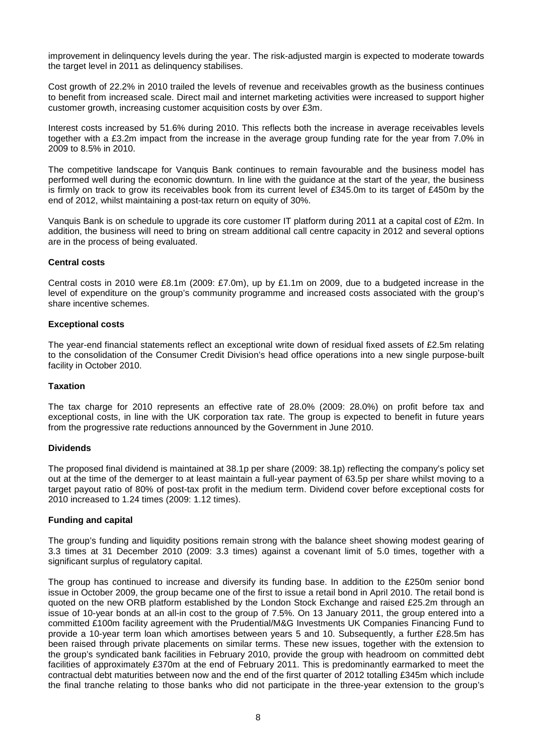improvement in delinquency levels during the year. The risk-adjusted margin is expected to moderate towards the target level in 2011 as delinquency stabilises.

Cost growth of 22.2% in 2010 trailed the levels of revenue and receivables growth as the business continues to benefit from increased scale. Direct mail and internet marketing activities were increased to support higher customer growth, increasing customer acquisition costs by over £3m.

Interest costs increased by 51.6% during 2010. This reflects both the increase in average receivables levels together with a £3.2m impact from the increase in the average group funding rate for the year from 7.0% in 2009 to 8.5% in 2010.

The competitive landscape for Vanquis Bank continues to remain favourable and the business model has performed well during the economic downturn. In line with the guidance at the start of the year, the business is firmly on track to grow its receivables book from its current level of £345.0m to its target of £450m by the end of 2012, whilst maintaining a post-tax return on equity of 30%.

Vanquis Bank is on schedule to upgrade its core customer IT platform during 2011 at a capital cost of £2m. In addition, the business will need to bring on stream additional call centre capacity in 2012 and several options are in the process of being evaluated.

# **Central costs**

Central costs in 2010 were £8.1m (2009: £7.0m), up by £1.1m on 2009, due to a budgeted increase in the level of expenditure on the group's community programme and increased costs associated with the group's share incentive schemes.

#### **Exceptional costs**

The year-end financial statements reflect an exceptional write down of residual fixed assets of £2.5m relating to the consolidation of the Consumer Credit Division's head office operations into a new single purpose-built facility in October 2010.

#### **Taxation**

The tax charge for 2010 represents an effective rate of 28.0% (2009: 28.0%) on profit before tax and exceptional costs, in line with the UK corporation tax rate. The group is expected to benefit in future years from the progressive rate reductions announced by the Government in June 2010.

#### **Dividends**

The proposed final dividend is maintained at 38.1p per share (2009: 38.1p) reflecting the company's policy set out at the time of the demerger to at least maintain a full-year payment of 63.5p per share whilst moving to a target payout ratio of 80% of post-tax profit in the medium term. Dividend cover before exceptional costs for 2010 increased to 1.24 times (2009: 1.12 times).

#### **Funding and capital**

The group's funding and liquidity positions remain strong with the balance sheet showing modest gearing of 3.3 times at 31 December 2010 (2009: 3.3 times) against a covenant limit of 5.0 times, together with a significant surplus of regulatory capital.

The group has continued to increase and diversify its funding base. In addition to the £250m senior bond issue in October 2009, the group became one of the first to issue a retail bond in April 2010. The retail bond is quoted on the new ORB platform established by the London Stock Exchange and raised £25.2m through an issue of 10-year bonds at an all-in cost to the group of 7.5%. On 13 January 2011, the group entered into a committed £100m facility agreement with the Prudential/M&G Investments UK Companies Financing Fund to provide a 10-year term loan which amortises between years 5 and 10. Subsequently, a further £28.5m has been raised through private placements on similar terms. These new issues, together with the extension to the group's syndicated bank facilities in February 2010, provide the group with headroom on committed debt facilities of approximately £370m at the end of February 2011. This is predominantly earmarked to meet the contractual debt maturities between now and the end of the first quarter of 2012 totalling £345m which include the final tranche relating to those banks who did not participate in the three-year extension to the group's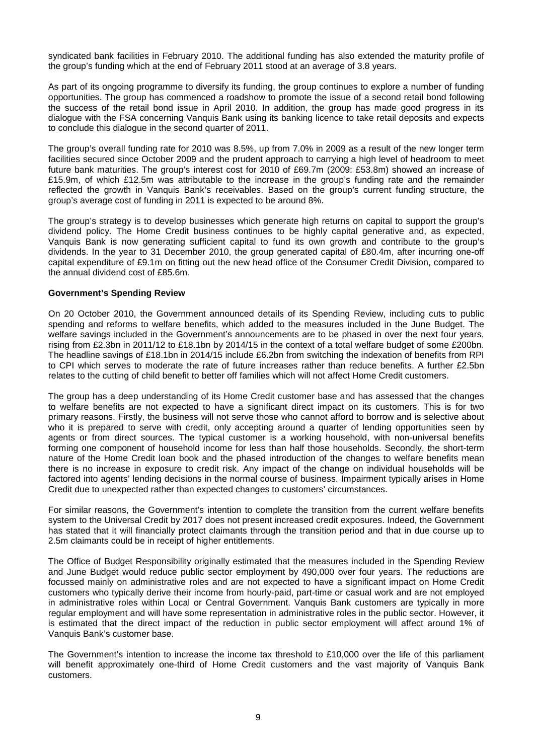syndicated bank facilities in February 2010. The additional funding has also extended the maturity profile of the group's funding which at the end of February 2011 stood at an average of 3.8 years.

As part of its ongoing programme to diversify its funding, the group continues to explore a number of funding opportunities. The group has commenced a roadshow to promote the issue of a second retail bond following the success of the retail bond issue in April 2010. In addition, the group has made good progress in its dialogue with the FSA concerning Vanquis Bank using its banking licence to take retail deposits and expects to conclude this dialogue in the second quarter of 2011.

The group's overall funding rate for 2010 was 8.5%, up from 7.0% in 2009 as a result of the new longer term facilities secured since October 2009 and the prudent approach to carrying a high level of headroom to meet future bank maturities. The group's interest cost for 2010 of £69.7m (2009: £53.8m) showed an increase of £15.9m, of which £12.5m was attributable to the increase in the group's funding rate and the remainder reflected the growth in Vanquis Bank's receivables. Based on the group's current funding structure, the group's average cost of funding in 2011 is expected to be around 8%.

The group's strategy is to develop businesses which generate high returns on capital to support the group's dividend policy. The Home Credit business continues to be highly capital generative and, as expected, Vanquis Bank is now generating sufficient capital to fund its own growth and contribute to the group's dividends. In the year to 31 December 2010, the group generated capital of £80.4m, after incurring one-off capital expenditure of £9.1m on fitting out the new head office of the Consumer Credit Division, compared to the annual dividend cost of £85.6m.

# **Government's Spending Review**

On 20 October 2010, the Government announced details of its Spending Review, including cuts to public spending and reforms to welfare benefits, which added to the measures included in the June Budget. The welfare savings included in the Government's announcements are to be phased in over the next four vears, rising from £2.3bn in 2011/12 to £18.1bn by 2014/15 in the context of a total welfare budget of some £200bn. The headline savings of £18.1bn in 2014/15 include £6.2bn from switching the indexation of benefits from RPI to CPI which serves to moderate the rate of future increases rather than reduce benefits. A further £2.5bn relates to the cutting of child benefit to better off families which will not affect Home Credit customers.

The group has a deep understanding of its Home Credit customer base and has assessed that the changes to welfare benefits are not expected to have a significant direct impact on its customers. This is for two primary reasons. Firstly, the business will not serve those who cannot afford to borrow and is selective about who it is prepared to serve with credit, only accepting around a quarter of lending opportunities seen by agents or from direct sources. The typical customer is a working household, with non-universal benefits forming one component of household income for less than half those households. Secondly, the short-term nature of the Home Credit loan book and the phased introduction of the changes to welfare benefits mean there is no increase in exposure to credit risk. Any impact of the change on individual households will be factored into agents' lending decisions in the normal course of business. Impairment typically arises in Home Credit due to unexpected rather than expected changes to customers' circumstances.

For similar reasons, the Government's intention to complete the transition from the current welfare benefits system to the Universal Credit by 2017 does not present increased credit exposures. Indeed, the Government has stated that it will financially protect claimants through the transition period and that in due course up to 2.5m claimants could be in receipt of higher entitlements.

The Office of Budget Responsibility originally estimated that the measures included in the Spending Review and June Budget would reduce public sector employment by 490,000 over four years. The reductions are focussed mainly on administrative roles and are not expected to have a significant impact on Home Credit customers who typically derive their income from hourly-paid, part-time or casual work and are not employed in administrative roles within Local or Central Government. Vanquis Bank customers are typically in more regular employment and will have some representation in administrative roles in the public sector. However, it is estimated that the direct impact of the reduction in public sector employment will affect around 1% of Vanquis Bank's customer base.

The Government's intention to increase the income tax threshold to £10,000 over the life of this parliament will benefit approximately one-third of Home Credit customers and the vast majority of Vanquis Bank customers.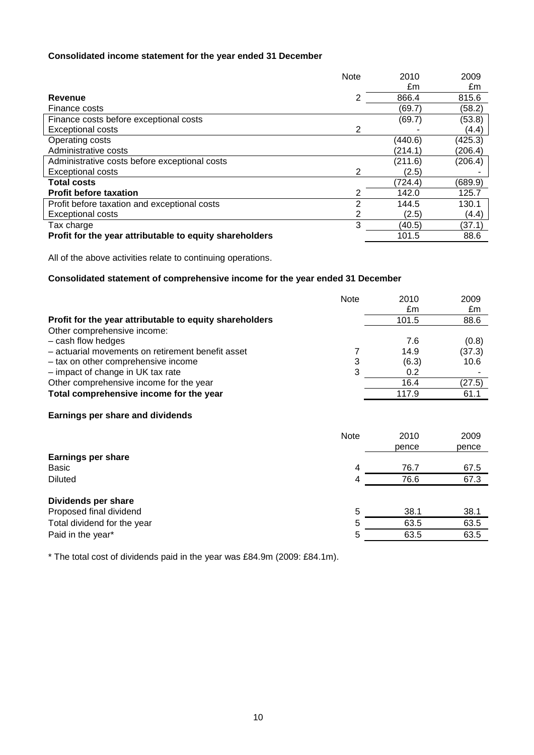# **Consolidated income statement for the year ended 31 December**

|                                                         | <b>Note</b> | 2010    | 2009    |
|---------------------------------------------------------|-------------|---------|---------|
|                                                         |             | £m      | £m      |
| Revenue                                                 |             | 866.4   | 815.6   |
| Finance costs                                           |             | (69.7)  | (58.2)  |
| Finance costs before exceptional costs                  |             | (69.7)  | (53.8)  |
| <b>Exceptional costs</b>                                | 2           |         | (4.4)   |
| Operating costs                                         |             | (440.6) | (425.3) |
| Administrative costs                                    |             | (214.1) | (206.4) |
| Administrative costs before exceptional costs           |             | (211.6) | (206.4) |
| <b>Exceptional costs</b>                                | 2           | (2.5)   |         |
| <b>Total costs</b>                                      |             | (724.4) | (689.9) |
| <b>Profit before taxation</b>                           |             | 142.0   | 125.7   |
| Profit before taxation and exceptional costs            | 2           | 144.5   | 130.1   |
| <b>Exceptional costs</b>                                | 2           | (2.5)   | (4.4)   |
| Tax charge                                              | 3           | (40.5)  | (37.1)  |
| Profit for the year attributable to equity shareholders |             | 101.5   | 88.6    |

All of the above activities relate to continuing operations.

# **Consolidated statement of comprehensive income for the year ended 31 December**

|                                                         | <b>Note</b> | 2010  | 2009   |
|---------------------------------------------------------|-------------|-------|--------|
|                                                         |             | £m    | £m     |
| Profit for the year attributable to equity shareholders |             | 101.5 | 88.6   |
| Other comprehensive income:                             |             |       |        |
| - cash flow hedges                                      |             | 7.6   | (0.8)  |
| - actuarial movements on retirement benefit asset       | 7           | 14.9  | (37.3) |
| - tax on other comprehensive income                     | 3           | (6.3) | 10.6   |
| - impact of change in UK tax rate                       | 3           | 0.2   |        |
| Other comprehensive income for the year                 |             | 16.4  | (27.5) |
| Total comprehensive income for the year                 |             | 117.9 | 61.1   |
| Earnings per share and dividends                        |             |       |        |
|                                                         | <b>Note</b> | 2010  | 2009   |
|                                                         |             | pence | pence  |
| <b>Earnings per share</b>                               |             |       |        |
| <b>Basic</b>                                            | 4           | 76.7  | 67.5   |
| <b>Diluted</b>                                          | 4           | 76.6  | 67.3   |
| Dividends per share                                     |             |       |        |
| Proposed final dividend                                 | 5           | 38.1  | 38.1   |
| Total dividend for the year                             | 5           | 63.5  | 63.5   |
| Paid in the year*                                       | 5           | 63.5  | 63.5   |

\* The total cost of dividends paid in the year was £84.9m (2009: £84.1m).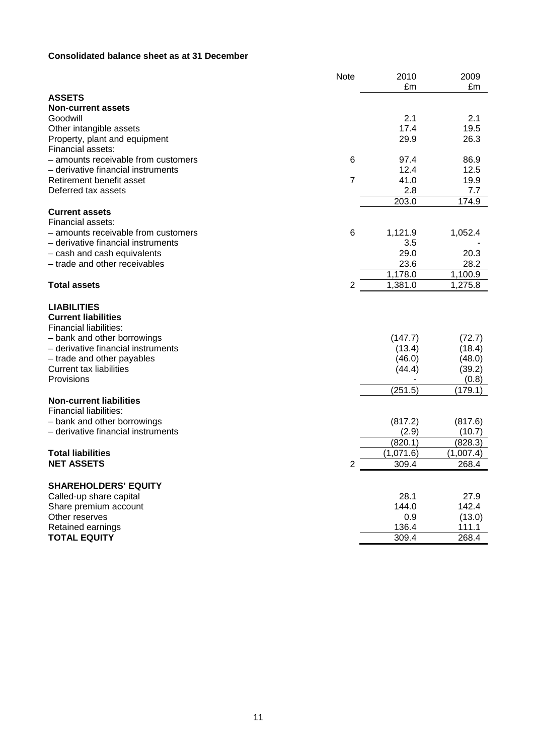# **Consolidated balance sheet as at 31 December**

|                                     | <b>Note</b>    | 2010      | 2009      |
|-------------------------------------|----------------|-----------|-----------|
|                                     |                | £m        | £m        |
| <b>ASSETS</b>                       |                |           |           |
| <b>Non-current assets</b>           |                |           |           |
| Goodwill                            |                | 2.1       | 2.1       |
| Other intangible assets             |                | 17.4      | 19.5      |
| Property, plant and equipment       |                | 29.9      | 26.3      |
| Financial assets:                   |                |           |           |
| - amounts receivable from customers | 6              | 97.4      | 86.9      |
| - derivative financial instruments  |                | 12.4      | 12.5      |
| Retirement benefit asset            | $\overline{7}$ | 41.0      | 19.9      |
| Deferred tax assets                 |                | 2.8       | 7.7       |
|                                     |                | 203.0     | 174.9     |
| <b>Current assets</b>               |                |           |           |
| Financial assets:                   |                |           |           |
| - amounts receivable from customers | 6              | 1,121.9   | 1,052.4   |
| - derivative financial instruments  |                | 3.5       |           |
| - cash and cash equivalents         |                | 29.0      | 20.3      |
| - trade and other receivables       |                | 23.6      | 28.2      |
|                                     |                | 1,178.0   | 1,100.9   |
| <b>Total assets</b>                 | $\overline{2}$ | 1,381.0   | 1,275.8   |
|                                     |                |           |           |
| <b>LIABILITIES</b>                  |                |           |           |
| <b>Current liabilities</b>          |                |           |           |
| Financial liabilities:              |                |           |           |
| - bank and other borrowings         |                | (147.7)   | (72.7)    |
| - derivative financial instruments  |                | (13.4)    | (18.4)    |
| - trade and other payables          |                | (46.0)    | (48.0)    |
| <b>Current tax liabilities</b>      |                | (44.4)    | (39.2)    |
| Provisions                          |                |           | (0.8)     |
|                                     |                | (251.5)   | (179.1)   |
| <b>Non-current liabilities</b>      |                |           |           |
| <b>Financial liabilities:</b>       |                |           |           |
| - bank and other borrowings         |                | (817.2)   | (817.6)   |
| - derivative financial instruments  |                | (2.9)     | (10.7)    |
|                                     |                | (820.1)   | (828.3)   |
| <b>Total liabilities</b>            |                | (1,071.6) | (1,007.4) |
| <b>NET ASSETS</b>                   | 2              | 309.4     | 268.4     |
|                                     |                |           |           |
| <b>SHAREHOLDERS' EQUITY</b>         |                |           |           |
| Called-up share capital             |                | 28.1      | 27.9      |
| Share premium account               |                | 144.0     | 142.4     |
| Other reserves                      |                | 0.9       | (13.0)    |
| Retained earnings                   |                | 136.4     | 111.1     |
| <b>TOTAL EQUITY</b>                 |                | 309.4     | 268.4     |
|                                     |                |           |           |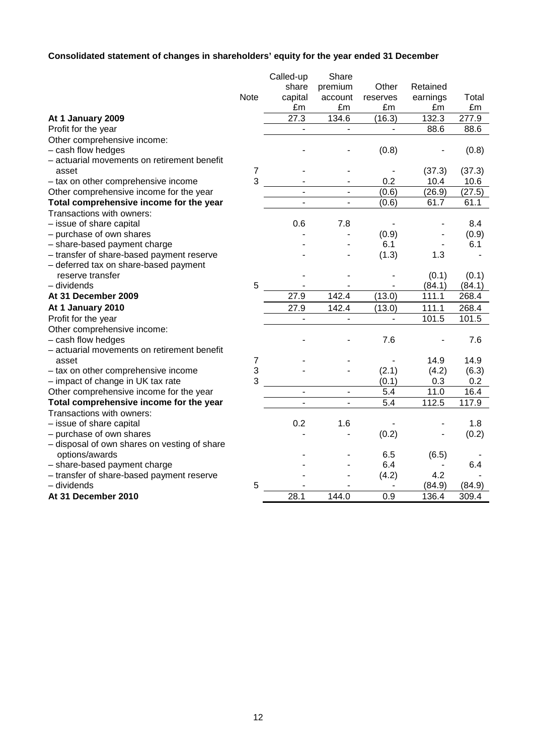# **Consolidated statement of changes in shareholders' equity for the year ended 31 December**

|                                              |                | Called-up      | Share                    |              |          |        |
|----------------------------------------------|----------------|----------------|--------------------------|--------------|----------|--------|
|                                              |                | share          | premium                  | Other        | Retained |        |
|                                              | <b>Note</b>    | capital        | account                  | reserves     | earnings | Total  |
|                                              |                | £m             | £m                       | £m           | £m       | £m     |
| At 1 January 2009                            |                | 27.3           | 134.6                    | (16.3)       | 132.3    | 277.9  |
| Profit for the year                          |                | $\overline{a}$ | $\mathbf{r}$             | $\mathbf{r}$ | 88.6     | 88.6   |
| Other comprehensive income:                  |                |                |                          |              |          |        |
| - cash flow hedges                           |                |                |                          | (0.8)        |          | (0.8)  |
| - actuarial movements on retirement benefit  |                |                |                          |              |          |        |
| asset                                        | $\overline{7}$ |                |                          |              | (37.3)   | (37.3) |
| - tax on other comprehensive income          | 3              |                |                          | 0.2          | 10.4     | 10.6   |
| Other comprehensive income for the year      |                | $\overline{a}$ | $\overline{a}$           | (0.6)        | (26.9)   | (27.5) |
| Total comprehensive income for the year      |                | $\blacksquare$ | $\overline{\phantom{a}}$ | (0.6)        | 61.7     | 61.1   |
| Transactions with owners:                    |                |                |                          |              |          |        |
| - issue of share capital                     |                | 0.6            | 7.8                      |              |          | 8.4    |
| - purchase of own shares                     |                |                |                          | (0.9)        |          | (0.9)  |
| - share-based payment charge                 |                |                |                          | 6.1          |          | 6.1    |
| - transfer of share-based payment reserve    |                |                |                          | (1.3)        | 1.3      |        |
| - deferred tax on share-based payment        |                |                |                          |              |          |        |
| reserve transfer                             |                |                |                          |              | (0.1)    | (0.1)  |
| $-$ dividends                                | 5              |                |                          |              | (84.1)   | (84.1) |
| At 31 December 2009                          |                | 27.9           | 142.4                    | (13.0)       | 111.1    | 268.4  |
| At 1 January 2010                            |                | 27.9           | 142.4                    | (13.0)       | 111.1    | 268.4  |
| Profit for the year                          |                |                |                          |              | 101.5    | 101.5  |
| Other comprehensive income:                  |                |                |                          |              |          |        |
| - cash flow hedges                           |                |                |                          | 7.6          |          | 7.6    |
| - actuarial movements on retirement benefit  |                |                |                          |              |          |        |
| asset                                        | $\overline{7}$ |                |                          |              | 14.9     | 14.9   |
| - tax on other comprehensive income          | 3              |                |                          | (2.1)        | (4.2)    | (6.3)  |
| - impact of change in UK tax rate            | 3              |                |                          | (0.1)        | 0.3      | 0.2    |
| Other comprehensive income for the year      |                | $\blacksquare$ | $\blacksquare$           | 5.4          | 11.0     | 16.4   |
| Total comprehensive income for the year      |                | ä,             | $\blacksquare$           | 5.4          | 112.5    | 117.9  |
| Transactions with owners:                    |                |                |                          |              |          |        |
| - issue of share capital                     |                | 0.2            | 1.6                      |              |          | 1.8    |
| - purchase of own shares                     |                |                |                          | (0.2)        |          | (0.2)  |
| - disposal of own shares on vesting of share |                |                |                          |              |          |        |
| options/awards                               |                |                |                          | 6.5          | (6.5)    |        |
| - share-based payment charge                 |                |                |                          | 6.4          |          | 6.4    |
| - transfer of share-based payment reserve    |                |                |                          | (4.2)        | 4.2      |        |
| - dividends                                  | 5              |                |                          |              | (84.9)   | (84.9) |
| At 31 December 2010                          |                | 28.1           | 144.0                    | 0.9          | 136.4    | 309.4  |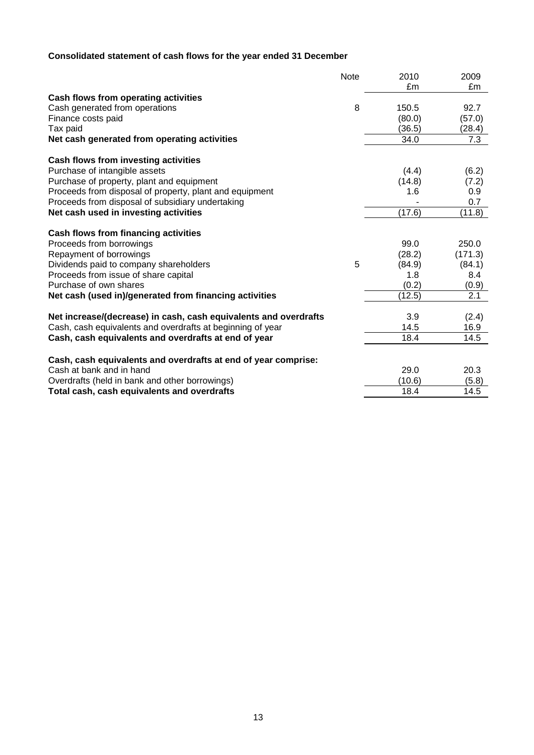# **Consolidated statement of cash flows for the year ended 31 December**

|                                                                  | <b>Note</b> | 2010          | 2009    |
|------------------------------------------------------------------|-------------|---------------|---------|
|                                                                  |             | £m            | £m      |
| Cash flows from operating activities                             |             |               |         |
| Cash generated from operations                                   | 8           | 150.5         | 92.7    |
| Finance costs paid                                               |             | (80.0)        | (57.0)  |
| Tax paid                                                         |             | (36.5)        | (28.4)  |
| Net cash generated from operating activities                     |             | 34.0          | 7.3     |
| Cash flows from investing activities                             |             |               |         |
| Purchase of intangible assets                                    |             | (4.4)         | (6.2)   |
| Purchase of property, plant and equipment                        |             | (14.8)        | (7.2)   |
| Proceeds from disposal of property, plant and equipment          |             | 1.6           | 0.9     |
| Proceeds from disposal of subsidiary undertaking                 |             |               | 0.7     |
| Net cash used in investing activities                            |             | (17.6)        | (11.8)  |
| Cash flows from financing activities                             |             |               |         |
| Proceeds from borrowings                                         |             | 99.0          | 250.0   |
|                                                                  |             | (28.2)        | (171.3) |
| Repayment of borrowings                                          |             |               |         |
| Dividends paid to company shareholders                           | 5           | (84.9)<br>1.8 | (84.1)  |
| Proceeds from issue of share capital<br>Purchase of own shares   |             |               | 8.4     |
|                                                                  |             | (0.2)         | (0.9)   |
| Net cash (used in)/generated from financing activities           |             | (12.5)        | 2.1     |
| Net increase/(decrease) in cash, cash equivalents and overdrafts |             | 3.9           | (2.4)   |
| Cash, cash equivalents and overdrafts at beginning of year       |             | 14.5          | 16.9    |
| Cash, cash equivalents and overdrafts at end of year             |             | 18.4          | 14.5    |
|                                                                  |             |               |         |
| Cash, cash equivalents and overdrafts at end of year comprise:   |             |               |         |
| Cash at bank and in hand                                         |             | 29.0          | 20.3    |
| Overdrafts (held in bank and other borrowings)                   |             | (10.6)        | (5.8)   |
| Total cash, cash equivalents and overdrafts                      |             | 18.4          | 14.5    |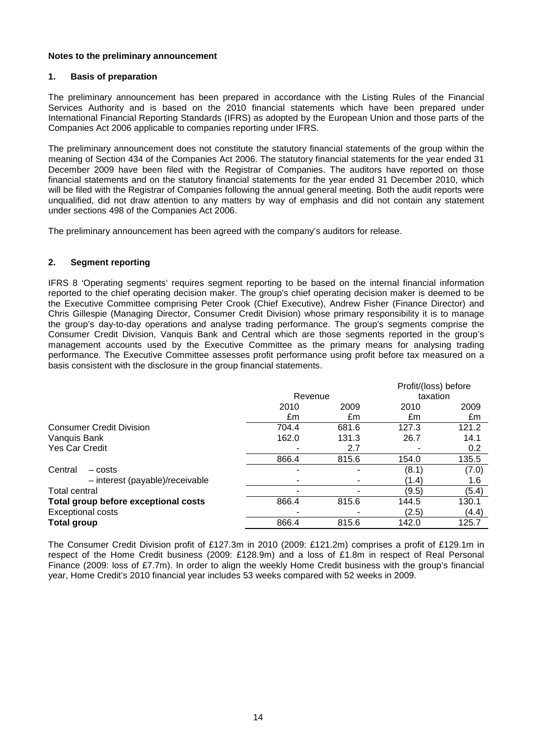#### **Notes to the preliminary announcement**

# **1. Basis of preparation**

The preliminary announcement has been prepared in accordance with the Listing Rules of the Financial Services Authority and is based on the 2010 financial statements which have been prepared under International Financial Reporting Standards (IFRS) as adopted by the European Union and those parts of the Companies Act 2006 applicable to companies reporting under IFRS.

The preliminary announcement does not constitute the statutory financial statements of the group within the meaning of Section 434 of the Companies Act 2006. The statutory financial statements for the year ended 31 December 2009 have been filed with the Registrar of Companies. The auditors have reported on those financial statements and on the statutory financial statements for the year ended 31 December 2010, which will be filed with the Registrar of Companies following the annual general meeting. Both the audit reports were unqualified, did not draw attention to any matters by way of emphasis and did not contain any statement under sections 498 of the Companies Act 2006.

The preliminary announcement has been agreed with the company's auditors for release.

# **2. Segment reporting**

IFRS 8 'Operating segments' requires segment reporting to be based on the internal financial information reported to the chief operating decision maker. The group's chief operating decision maker is deemed to be the Executive Committee comprising Peter Crook (Chief Executive), Andrew Fisher (Finance Director) and Chris Gillespie (Managing Director, Consumer Credit Division) whose primary responsibility it is to manage the group's day-to-day operations and analyse trading performance. The group's segments comprise the Consumer Credit Division, Vanquis Bank and Central which are those segments reported in the group's management accounts used by the Executive Committee as the primary means for analysing trading performance. The Executive Committee assesses profit performance using profit before tax measured on a basis consistent with the disclosure in the group financial statements.

|                                      |                          |       | Profit/(loss) before |       |
|--------------------------------------|--------------------------|-------|----------------------|-------|
|                                      | Revenue                  |       | taxation             |       |
|                                      | 2010                     | 2009  | 2010                 | 2009  |
|                                      | £m                       | £m    | £m                   | £m    |
| <b>Consumer Credit Division</b>      | 704.4                    | 681.6 | 127.3                | 121.2 |
| Vanquis Bank                         | 162.0                    | 131.3 | 26.7                 | 14.1  |
| Yes Car Credit                       |                          | 2.7   |                      | 0.2   |
|                                      | 866.4                    | 815.6 | 154.0                | 135.5 |
| Central<br>- costs                   |                          |       | (8.1)                | (7.0) |
| - interest (payable)/receivable      | ۰                        |       | (1.4)                | 1.6   |
| Total central                        | $\overline{\phantom{a}}$ |       | (9.5)                | (5.4) |
| Total group before exceptional costs | 866.4                    | 815.6 | 144.5                | 130.1 |
| <b>Exceptional costs</b>             |                          |       | (2.5)                | (4.4) |
| <b>Total group</b>                   | 866.4                    | 815.6 | 142.0                | 125.7 |

The Consumer Credit Division profit of £127.3m in 2010 (2009: £121.2m) comprises a profit of £129.1m in respect of the Home Credit business (2009: £128.9m) and a loss of £1.8m in respect of Real Personal Finance (2009: loss of £7.7m). In order to align the weekly Home Credit business with the group's financial year, Home Credit's 2010 financial year includes 53 weeks compared with 52 weeks in 2009.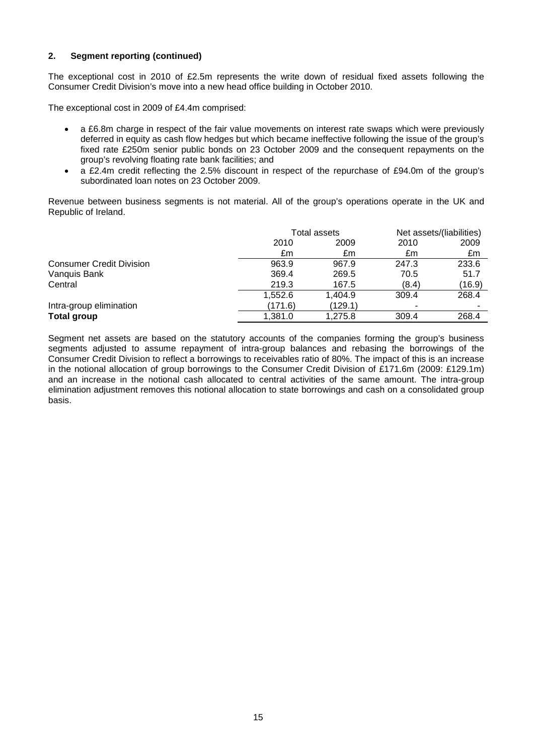# **2. Segment reporting (continued)**

The exceptional cost in 2010 of £2.5m represents the write down of residual fixed assets following the Consumer Credit Division's move into a new head office building in October 2010.

The exceptional cost in 2009 of £4.4m comprised:

- a £6.8m charge in respect of the fair value movements on interest rate swaps which were previously deferred in equity as cash flow hedges but which became ineffective following the issue of the group's fixed rate £250m senior public bonds on 23 October 2009 and the consequent repayments on the group's revolving floating rate bank facilities; and
- a £2.4m credit reflecting the 2.5% discount in respect of the repurchase of £94.0m of the group's subordinated loan notes on 23 October 2009.

Revenue between business segments is not material. All of the group's operations operate in the UK and Republic of Ireland.

|                                 |         | Total assets |       | Net assets/(liabilities) |
|---------------------------------|---------|--------------|-------|--------------------------|
|                                 | 2010    | 2009         | 2010  | 2009                     |
|                                 | £m      | £m           | £m    | £m                       |
| <b>Consumer Credit Division</b> | 963.9   | 967.9        | 247.3 | 233.6                    |
| Vanquis Bank                    | 369.4   | 269.5        | 70.5  | 51.7                     |
| Central                         | 219.3   | 167.5        | (8.4) | (16.9)                   |
|                                 | 1.552.6 | 1.404.9      | 309.4 | 268.4                    |
| Intra-group elimination         | (171.6) | (129.1)      | ۰     |                          |
| <b>Total group</b>              | 1.381.0 | 1.275.8      | 309.4 | 268.4                    |

Segment net assets are based on the statutory accounts of the companies forming the group's business segments adjusted to assume repayment of intra-group balances and rebasing the borrowings of the Consumer Credit Division to reflect a borrowings to receivables ratio of 80%. The impact of this is an increase in the notional allocation of group borrowings to the Consumer Credit Division of £171.6m (2009: £129.1m) and an increase in the notional cash allocated to central activities of the same amount. The intra-group elimination adjustment removes this notional allocation to state borrowings and cash on a consolidated group basis.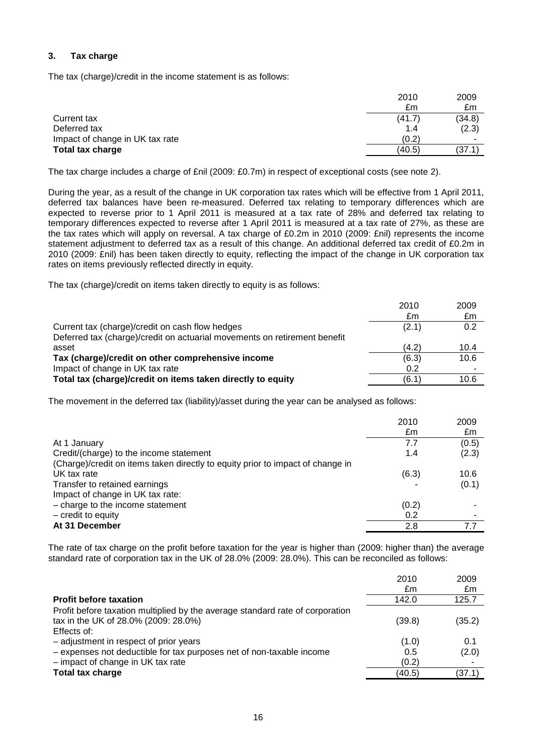# **3. Tax charge**

The tax (charge)/credit in the income statement is as follows:

|                                 | 2010   | 2009   |
|---------------------------------|--------|--------|
|                                 | £m     | £m     |
| Current tax                     | (41.7) | (34.8) |
| Deferred tax                    | 1.4    | (2.3)  |
| Impact of change in UK tax rate | (0.2)  |        |
| Total tax charge                | (40.5) | (37.1  |

The tax charge includes a charge of £nil (2009: £0.7m) in respect of exceptional costs (see note 2).

During the year, as a result of the change in UK corporation tax rates which will be effective from 1 April 2011, deferred tax balances have been re-measured. Deferred tax relating to temporary differences which are expected to reverse prior to 1 April 2011 is measured at a tax rate of 28% and deferred tax relating to temporary differences expected to reverse after 1 April 2011 is measured at a tax rate of 27%, as these are the tax rates which will apply on reversal. A tax charge of £0.2m in 2010 (2009: £nil) represents the income statement adjustment to deferred tax as a result of this change. An additional deferred tax credit of £0.2m in 2010 (2009: £nil) has been taken directly to equity, reflecting the impact of the change in UK corporation tax rates on items previously reflected directly in equity.

The tax (charge)/credit on items taken directly to equity is as follows:

|                                                                           | 2010  | 2009 |
|---------------------------------------------------------------------------|-------|------|
|                                                                           | £m    | £m   |
| Current tax (charge)/credit on cash flow hedges                           | (2.1) | 0.2  |
| Deferred tax (charge)/credit on actuarial movements on retirement benefit |       |      |
| asset                                                                     | (4.2) | 10.4 |
| Tax (charge)/credit on other comprehensive income                         | (6.3) | 10.6 |
| Impact of change in UK tax rate                                           | 0.2   | -    |
| Total tax (charge)/credit on items taken directly to equity               | (6.1) | 10.6 |

The movement in the deferred tax (liability)/asset during the year can be analysed as follows:

|                                                                                | 2010<br>£m | 2009<br>£m |
|--------------------------------------------------------------------------------|------------|------------|
| At 1 January                                                                   | 7.7        | (0.5)      |
| Credit/(charge) to the income statement                                        | 1.4        | (2.3)      |
| (Charge)/credit on items taken directly to equity prior to impact of change in |            |            |
| UK tax rate                                                                    | (6.3)      | 10.6       |
| Transfer to retained earnings                                                  |            | (0.1)      |
| Impact of change in UK tax rate:                                               |            |            |
| - charge to the income statement                                               | (0.2)      |            |
| - credit to equity                                                             | 0.2        | ۰          |
| At 31 December                                                                 | 2.8        | 7.7        |

The rate of tax charge on the profit before taxation for the year is higher than (2009: higher than) the average standard rate of corporation tax in the UK of 28.0% (2009: 28.0%). This can be reconciled as follows:

|                                                                               | 2010   | 2009   |
|-------------------------------------------------------------------------------|--------|--------|
|                                                                               | £m     | £m     |
| <b>Profit before taxation</b>                                                 | 142.0  | 125.7  |
| Profit before taxation multiplied by the average standard rate of corporation |        |        |
| tax in the UK of 28.0% (2009: 28.0%)                                          | (39.8) | (35.2) |
| Effects of:                                                                   |        |        |
| - adjustment in respect of prior years                                        | (1.0)  | 0.1    |
| - expenses not deductible for tax purposes net of non-taxable income          | 0.5    | (2.0)  |
| - impact of change in UK tax rate                                             | (0.2)  |        |
| Total tax charge                                                              | (40.5) | (37.1) |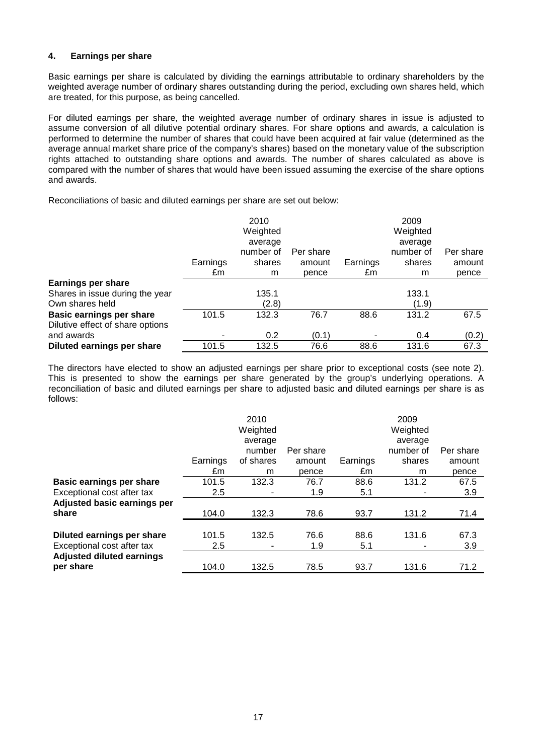# **4. Earnings per share**

Basic earnings per share is calculated by dividing the earnings attributable to ordinary shareholders by the weighted average number of ordinary shares outstanding during the period, excluding own shares held, which are treated, for this purpose, as being cancelled.

For diluted earnings per share, the weighted average number of ordinary shares in issue is adjusted to assume conversion of all dilutive potential ordinary shares. For share options and awards, a calculation is performed to determine the number of shares that could have been acquired at fair value (determined as the average annual market share price of the company's shares) based on the monetary value of the subscription rights attached to outstanding share options and awards. The number of shares calculated as above is compared with the number of shares that would have been issued assuming the exercise of the share options and awards.

Reconciliations of basic and diluted earnings per share are set out below:

|                                  |          | 2010      |           |          | 2009      |           |
|----------------------------------|----------|-----------|-----------|----------|-----------|-----------|
|                                  |          | Weighted  |           |          | Weighted  |           |
|                                  |          | average   |           |          | average   |           |
|                                  |          | number of | Per share |          | number of | Per share |
|                                  | Earnings | shares    | amount    | Earnings | shares    | amount    |
|                                  | £m       | m         | pence     | £m       | m         | pence     |
| <b>Earnings per share</b>        |          |           |           |          |           |           |
| Shares in issue during the year  |          | 135.1     |           |          | 133.1     |           |
| Own shares held                  |          | (2.8)     |           |          | (1.9)     |           |
| <b>Basic earnings per share</b>  | 101.5    | 132.3     | 76.7      | 88.6     | 131.2     | 67.5      |
| Dilutive effect of share options |          |           |           |          |           |           |
| and awards                       |          | 0.2       | (0.1)     |          | 0.4       | (0.2)     |
| Diluted earnings per share       | 101.5    | 132.5     | 76.6      | 88.6     | 131.6     | 67.3      |

The directors have elected to show an adjusted earnings per share prior to exceptional costs (see note 2). This is presented to show the earnings per share generated by the group's underlying operations. A reconciliation of basic and diluted earnings per share to adjusted basic and diluted earnings per share is as follows:

|                                    |          | 2010      |           |          | 2009      |           |
|------------------------------------|----------|-----------|-----------|----------|-----------|-----------|
|                                    |          | Weighted  |           |          | Weighted  |           |
|                                    |          | average   |           |          | average   |           |
|                                    |          | number    | Per share |          | number of | Per share |
|                                    | Earnings | of shares | amount    | Earnings | shares    | amount    |
|                                    | £m       | m         | pence     | £m       | m         | pence     |
| <b>Basic earnings per share</b>    | 101.5    | 132.3     | 76.7      | 88.6     | 131.2     | 67.5      |
| Exceptional cost after tax         | 2.5      |           | 1.9       | 5.1      | ۰         | 3.9       |
| <b>Adjusted basic earnings per</b> |          |           |           |          |           |           |
| share                              | 104.0    | 132.3     | 78.6      | 93.7     | 131.2     | 71.4      |
|                                    |          |           |           |          |           |           |
| Diluted earnings per share         | 101.5    | 132.5     | 76.6      | 88.6     | 131.6     | 67.3      |
| Exceptional cost after tax         | 2.5      |           | 1.9       | 5.1      | ۰         | 3.9       |
| <b>Adjusted diluted earnings</b>   |          |           |           |          |           |           |
| per share                          | 104.0    | 132.5     | 78.5      | 93.7     | 131.6     | 71.2      |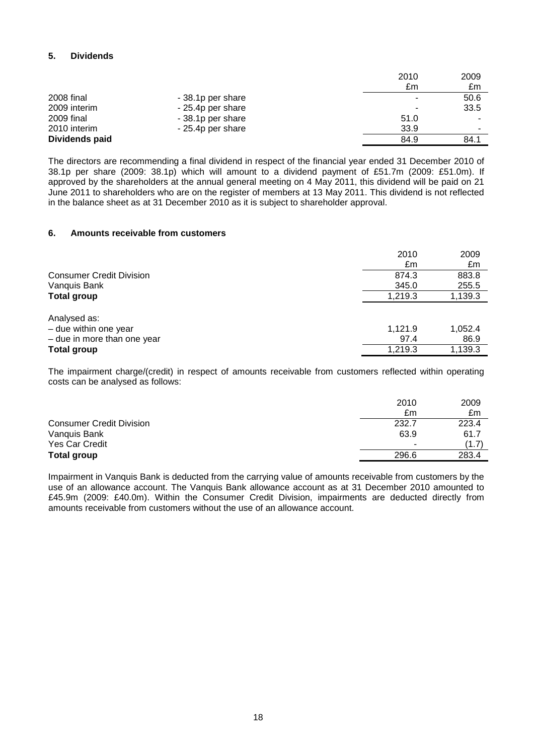# **5. Dividends**

|                   |                   | 2010 | 2009 |
|-------------------|-------------------|------|------|
|                   |                   | £m   | £m   |
| <b>2008 final</b> | - 38.1p per share |      | 50.6 |
| 2009 interim      | - 25.4p per share | ٠    | 33.5 |
| 2009 final        | - 38.1p per share | 51.0 |      |
| 2010 interim      | - 25.4p per share | 33.9 | ۰    |
| Dividends paid    |                   | 84.9 | 84.1 |

The directors are recommending a final dividend in respect of the financial year ended 31 December 2010 of 38.1p per share (2009: 38.1p) which will amount to a dividend payment of £51.7m (2009: £51.0m). If approved by the shareholders at the annual general meeting on 4 May 2011, this dividend will be paid on 21 June 2011 to shareholders who are on the register of members at 13 May 2011. This dividend is not reflected in the balance sheet as at 31 December 2010 as it is subject to shareholder approval.

# **6. Amounts receivable from customers**

|                                 | 2010<br>£m | 2009<br>£m |
|---------------------------------|------------|------------|
| <b>Consumer Credit Division</b> | 874.3      | 883.8      |
| Vanquis Bank                    | 345.0      | 255.5      |
| <b>Total group</b>              | 1,219.3    | 1,139.3    |
| Analysed as:                    |            |            |
| - due within one year           | 1,121.9    | 1,052.4    |
| $-$ due in more than one year   | 97.4       | 86.9       |
| <b>Total group</b>              | 1,219.3    | 1,139.3    |

The impairment charge/(credit) in respect of amounts receivable from customers reflected within operating costs can be analysed as follows:

|                                 | 2010  | 2009  |
|---------------------------------|-------|-------|
|                                 | £m    | £m    |
| <b>Consumer Credit Division</b> | 232.7 | 223.4 |
| Vanquis Bank                    | 63.9  | 61.7  |
| Yes Car Credit                  | ۰     | (1.7) |
| <b>Total group</b>              | 296.6 | 283.4 |

Impairment in Vanquis Bank is deducted from the carrying value of amounts receivable from customers by the use of an allowance account. The Vanquis Bank allowance account as at 31 December 2010 amounted to £45.9m (2009: £40.0m). Within the Consumer Credit Division, impairments are deducted directly from amounts receivable from customers without the use of an allowance account.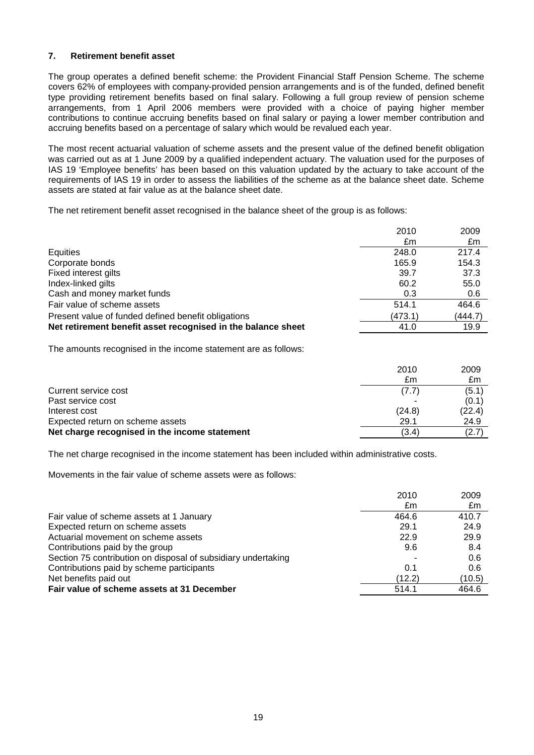# **7. Retirement benefit asset**

The group operates a defined benefit scheme: the Provident Financial Staff Pension Scheme. The scheme covers 62% of employees with company-provided pension arrangements and is of the funded, defined benefit type providing retirement benefits based on final salary. Following a full group review of pension scheme arrangements, from 1 April 2006 members were provided with a choice of paying higher member contributions to continue accruing benefits based on final salary or paying a lower member contribution and accruing benefits based on a percentage of salary which would be revalued each year.

The most recent actuarial valuation of scheme assets and the present value of the defined benefit obligation was carried out as at 1 June 2009 by a qualified independent actuary. The valuation used for the purposes of IAS 19 'Employee benefits' has been based on this valuation updated by the actuary to take account of the requirements of IAS 19 in order to assess the liabilities of the scheme as at the balance sheet date. Scheme assets are stated at fair value as at the balance sheet date.

The net retirement benefit asset recognised in the balance sheet of the group is as follows:

|                                                              | 2010    | 2009    |
|--------------------------------------------------------------|---------|---------|
|                                                              | £m      | £m      |
| Equities                                                     | 248.0   | 217.4   |
| Corporate bonds                                              | 165.9   | 154.3   |
| Fixed interest gilts                                         | 39.7    | 37.3    |
| Index-linked gilts                                           | 60.2    | 55.0    |
| Cash and money market funds                                  | 0.3     | 0.6     |
| Fair value of scheme assets                                  | 514.1   | 464.6   |
| Present value of funded defined benefit obligations          | (473.1) | (444.7) |
| Net retirement benefit asset recognised in the balance sheet | 41.0    | 19.9    |

The amounts recognised in the income statement are as follows:

|                                               | 2010   | 2009   |
|-----------------------------------------------|--------|--------|
|                                               | £m     | £m     |
| Current service cost                          | (7.7)  | (5.1)  |
| Past service cost                             |        | (0.1)  |
| Interest cost                                 | (24.8) | (22.4) |
| Expected return on scheme assets              | 29.1   | 24.9   |
| Net charge recognised in the income statement | (3.4)  | (2.7)  |

The net charge recognised in the income statement has been included within administrative costs.

Movements in the fair value of scheme assets were as follows:

|                                                               | 2010   | 2009   |
|---------------------------------------------------------------|--------|--------|
|                                                               | £m     | £m     |
| Fair value of scheme assets at 1 January                      | 464.6  | 410.7  |
| Expected return on scheme assets                              | 29.1   | 24.9   |
| Actuarial movement on scheme assets                           | 22.9   | 29.9   |
| Contributions paid by the group                               | 9.6    | 8.4    |
| Section 75 contribution on disposal of subsidiary undertaking |        | 0.6    |
| Contributions paid by scheme participants                     | 0.1    | 0.6    |
| Net benefits paid out                                         | (12.2) | (10.5) |
| Fair value of scheme assets at 31 December                    | 514.1  | 464.6  |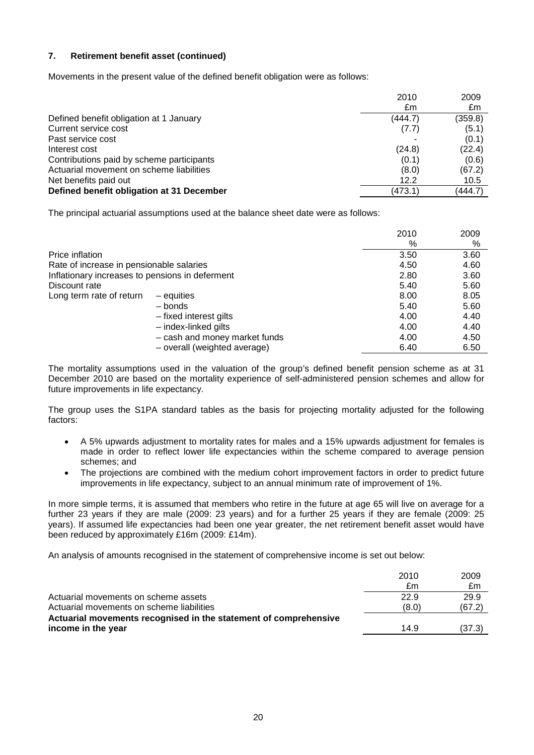# **7. Retirement benefit asset (continued)**

Movements in the present value of the defined benefit obligation were as follows:

|                                           | 2010    | 2009    |
|-------------------------------------------|---------|---------|
|                                           | £m      | £m      |
| Defined benefit obligation at 1 January   | (444.7) | (359.8) |
| Current service cost                      | (7.7)   | (5.1)   |
| Past service cost                         |         | (0.1)   |
| Interest cost                             | (24.8)  | (22.4)  |
| Contributions paid by scheme participants | (0.1)   | (0.6)   |
| Actuarial movement on scheme liabilities  | (8.0)   | (67.2)  |
| Net benefits paid out                     | 12.2    | 10.5    |
| Defined benefit obligation at 31 December | (473.1) | (444.7) |

The principal actuarial assumptions used at the balance sheet date were as follows:

|                                                 |                               | 2010 | 2009 |
|-------------------------------------------------|-------------------------------|------|------|
|                                                 |                               | %    | %    |
| Price inflation                                 |                               | 3.50 | 3.60 |
| Rate of increase in pensionable salaries        |                               | 4.50 | 4.60 |
| Inflationary increases to pensions in deferment |                               | 2.80 | 3.60 |
| Discount rate                                   |                               | 5.40 | 5.60 |
| Long term rate of return                        | - equities                    | 8.00 | 8.05 |
|                                                 | – bonds                       | 5.40 | 5.60 |
|                                                 | - fixed interest gilts        | 4.00 | 4.40 |
|                                                 | - index-linked gilts          | 4.00 | 4.40 |
|                                                 | - cash and money market funds | 4.00 | 4.50 |
|                                                 | - overall (weighted average)  | 6.40 | 6.50 |

The mortality assumptions used in the valuation of the group's defined benefit pension scheme as at 31 December 2010 are based on the mortality experience of self-administered pension schemes and allow for future improvements in life expectancy.

The group uses the S1PA standard tables as the basis for projecting mortality adjusted for the following factors:

- A 5% upwards adjustment to mortality rates for males and a 15% upwards adjustment for females is made in order to reflect lower life expectancies within the scheme compared to average pension schemes; and
- The projections are combined with the medium cohort improvement factors in order to predict future improvements in life expectancy, subject to an annual minimum rate of improvement of 1%.

In more simple terms, it is assumed that members who retire in the future at age 65 will live on average for a further 23 years if they are male (2009: 23 years) and for a further 25 years if they are female (2009: 25 years). If assumed life expectancies had been one year greater, the net retirement benefit asset would have been reduced by approximately £16m (2009: £14m).

An analysis of amounts recognised in the statement of comprehensive income is set out below:

| Actuarial movements recognised in the statement of comprehensive<br>income in the year | 14.9  | (37.3) |
|----------------------------------------------------------------------------------------|-------|--------|
| Actuarial movements on scheme liabilities                                              | (8.0) | (67.2) |
| Actuarial movements on scheme assets                                                   | 22.9  | 29.9   |
|                                                                                        | £m    | £m     |
|                                                                                        | 2010  | 2009   |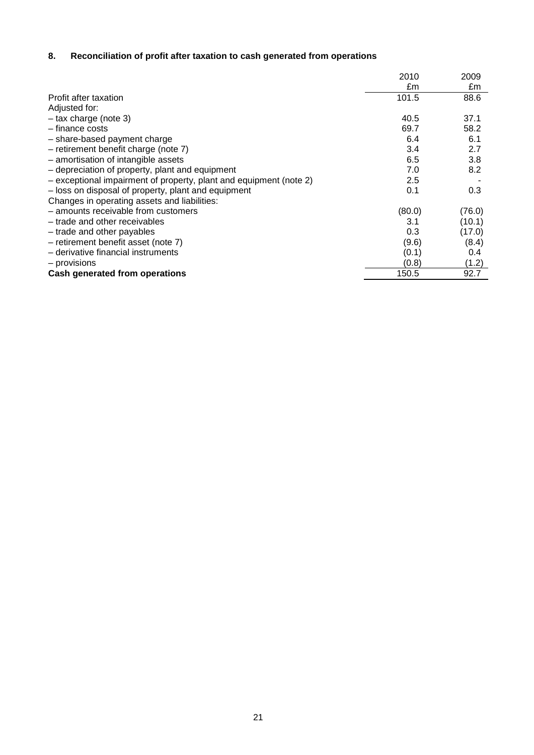# **8. Reconciliation of profit after taxation to cash generated from operations**

|                                                                    | 2010   | 2009   |
|--------------------------------------------------------------------|--------|--------|
|                                                                    | £m     | £m     |
| Profit after taxation                                              | 101.5  | 88.6   |
| Adjusted for:                                                      |        |        |
| $-$ tax charge (note 3)                                            | 40.5   | 37.1   |
| - finance costs                                                    | 69.7   | 58.2   |
| - share-based payment charge                                       | 6.4    | 6.1    |
| $-$ retirement benefit charge (note 7)                             | 3.4    | 2.7    |
| - amortisation of intangible assets                                | 6.5    | 3.8    |
| - depreciation of property, plant and equipment                    | 7.0    | 8.2    |
| - exceptional impairment of property, plant and equipment (note 2) | 2.5    |        |
| - loss on disposal of property, plant and equipment                | 0.1    | 0.3    |
| Changes in operating assets and liabilities:                       |        |        |
| - amounts receivable from customers                                | (80.0) | (76.0) |
| - trade and other receivables                                      | 3.1    | (10.1) |
| - trade and other payables                                         | 0.3    | (17.0) |
| - retirement benefit asset (note 7)                                | (9.6)  | (8.4)  |
| - derivative financial instruments                                 | (0.1)  | 0.4    |
| - provisions                                                       | (0.8)  | (1.2)  |
| <b>Cash generated from operations</b>                              | 150.5  | 92.7   |